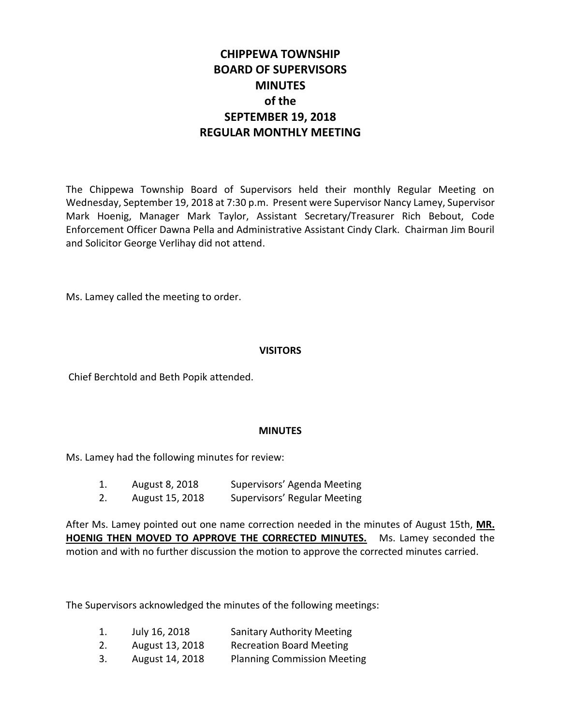# **CHIPPEWA TOWNSHIP BOARD OF SUPERVISORS MINUTES of the SEPTEMBER 19, 2018 REGULAR MONTHLY MEETING**

The Chippewa Township Board of Supervisors held their monthly Regular Meeting on Wednesday, September 19, 2018 at 7:30 p.m. Present were Supervisor Nancy Lamey, Supervisor Mark Hoenig, Manager Mark Taylor, Assistant Secretary/Treasurer Rich Bebout, Code Enforcement Officer Dawna Pella and Administrative Assistant Cindy Clark. Chairman Jim Bouril and Solicitor George Verlihay did not attend.

Ms. Lamey called the meeting to order.

## **VISITORS**

Chief Berchtold and Beth Popik attended.

### **MINUTES**

Ms. Lamey had the following minutes for review:

| 1. | August 8, 2018 | Supervisors' Agenda Meeting |
|----|----------------|-----------------------------|
|    |                |                             |

2. August 15, 2018 Supervisors' Regular Meeting

After Ms. Lamey pointed out one name correction needed in the minutes of August 15th, **MR. HOENIG THEN MOVED TO APPROVE THE CORRECTED MINUTES.** Ms. Lamey seconded the motion and with no further discussion the motion to approve the corrected minutes carried.

The Supervisors acknowledged the minutes of the following meetings:

| 1. | July 16, 2018   | <b>Sanitary Authority Meeting</b>  |
|----|-----------------|------------------------------------|
| 2. | August 13, 2018 | <b>Recreation Board Meeting</b>    |
| 3. | August 14, 2018 | <b>Planning Commission Meeting</b> |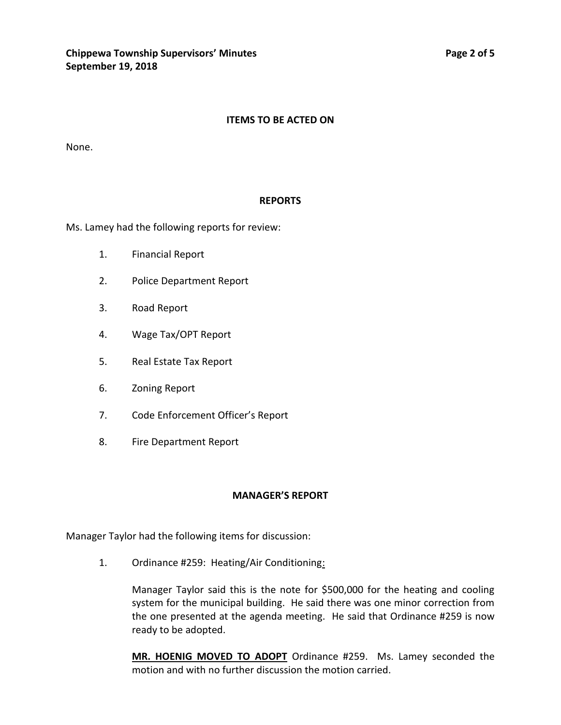## **ITEMS TO BE ACTED ON**

None.

### **REPORTS**

Ms. Lamey had the following reports for review:

- 1. Financial Report
- 2. Police Department Report
- 3. Road Report
- 4. Wage Tax/OPT Report
- 5. Real Estate Tax Report
- 6. Zoning Report
- 7. Code Enforcement Officer's Report
- 8. Fire Department Report

### **MANAGER'S REPORT**

Manager Taylor had the following items for discussion:

1. Ordinance #259: Heating/Air Conditioning:

Manager Taylor said this is the note for \$500,000 for the heating and cooling system for the municipal building. He said there was one minor correction from the one presented at the agenda meeting. He said that Ordinance #259 is now ready to be adopted.

**MR. HOENIG MOVED TO ADOPT** Ordinance #259. Ms. Lamey seconded the motion and with no further discussion the motion carried.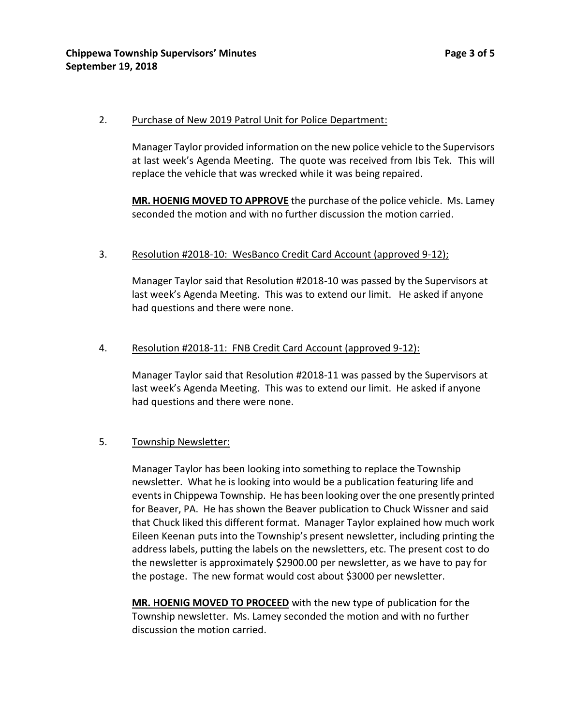## 2. Purchase of New 2019 Patrol Unit for Police Department:

Manager Taylor provided information on the new police vehicle to the Supervisors at last week's Agenda Meeting. The quote was received from Ibis Tek. This will replace the vehicle that was wrecked while it was being repaired.

**MR. HOENIG MOVED TO APPROVE** the purchase of the police vehicle. Ms. Lamey seconded the motion and with no further discussion the motion carried.

# 3. Resolution #2018-10: WesBanco Credit Card Account (approved 9-12);

Manager Taylor said that Resolution #2018-10 was passed by the Supervisors at last week's Agenda Meeting. This was to extend our limit. He asked if anyone had questions and there were none.

## 4. Resolution #2018-11: FNB Credit Card Account (approved 9-12):

Manager Taylor said that Resolution #2018-11 was passed by the Supervisors at last week's Agenda Meeting. This was to extend our limit. He asked if anyone had questions and there were none.

## 5. Township Newsletter:

Manager Taylor has been looking into something to replace the Township newsletter. What he is looking into would be a publication featuring life and events in Chippewa Township. He has been looking over the one presently printed for Beaver, PA. He has shown the Beaver publication to Chuck Wissner and said that Chuck liked this different format. Manager Taylor explained how much work Eileen Keenan puts into the Township's present newsletter, including printing the address labels, putting the labels on the newsletters, etc. The present cost to do the newsletter is approximately \$2900.00 per newsletter, as we have to pay for the postage. The new format would cost about \$3000 per newsletter.

**MR. HOENIG MOVED TO PROCEED** with the new type of publication for the Township newsletter. Ms. Lamey seconded the motion and with no further discussion the motion carried.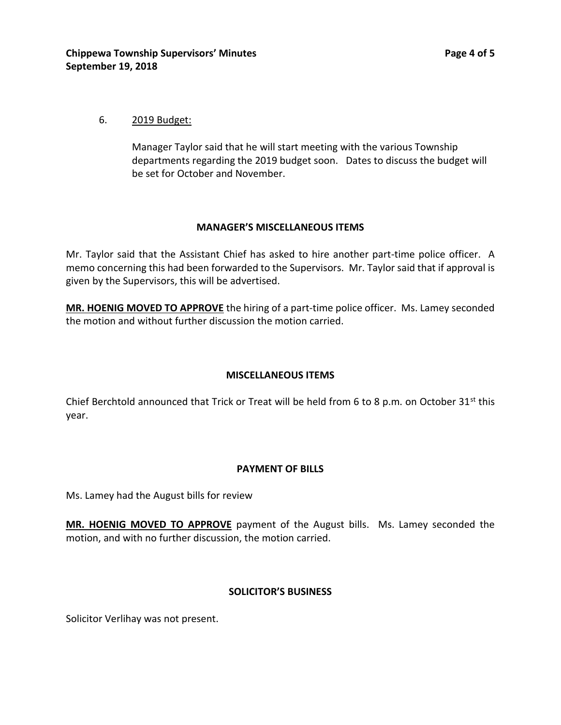## 6. 2019 Budget:

Manager Taylor said that he will start meeting with the various Township departments regarding the 2019 budget soon. Dates to discuss the budget will be set for October and November.

### **MANAGER'S MISCELLANEOUS ITEMS**

Mr. Taylor said that the Assistant Chief has asked to hire another part-time police officer. A memo concerning this had been forwarded to the Supervisors. Mr. Taylor said that if approval is given by the Supervisors, this will be advertised.

**MR. HOENIG MOVED TO APPROVE** the hiring of a part-time police officer. Ms. Lamey seconded the motion and without further discussion the motion carried.

## **MISCELLANEOUS ITEMS**

Chief Berchtold announced that Trick or Treat will be held from 6 to 8 p.m. on October 31st this year.

### **PAYMENT OF BILLS**

Ms. Lamey had the August bills for review

**MR. HOENIG MOVED TO APPROVE** payment of the August bills. Ms. Lamey seconded the motion, and with no further discussion, the motion carried.

### **SOLICITOR'S BUSINESS**

Solicitor Verlihay was not present.